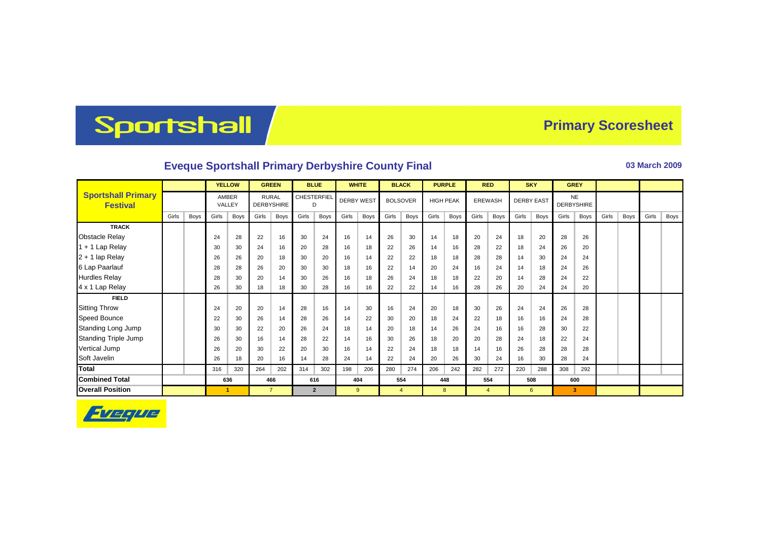## Sportshall

## **Primary Scoresheet**

## **Eveque Sportshall Primary Derbyshire County Final <b>Development County Final** 03 March 2009

|                                              |       |      | <b>YELLOW</b>   |      | <b>GREEN</b>                      |      | <b>BLUE</b>             |                | <b>WHITE</b>      |      | <b>BLACK</b>    |                | <b>PURPLE</b>    |      | <b>RED</b>     |                | <b>SKY</b>        |      | <b>GREY</b>                    |      |       |             |       |      |
|----------------------------------------------|-------|------|-----------------|------|-----------------------------------|------|-------------------------|----------------|-------------------|------|-----------------|----------------|------------------|------|----------------|----------------|-------------------|------|--------------------------------|------|-------|-------------|-------|------|
| <b>Sportshall Primary</b><br><b>Festival</b> |       |      | AMBER<br>VALLEY |      | <b>RURAL</b><br><b>DERBYSHIRE</b> |      | <b>CHESTERFIEL</b><br>D |                | <b>DERBY WEST</b> |      | <b>BOLSOVER</b> |                | <b>HIGH PEAK</b> |      | <b>EREWASH</b> |                | <b>DERBY EAST</b> |      | <b>NE</b><br><b>DERBYSHIRE</b> |      |       |             |       |      |
|                                              | Girls | Boys | Girls           | Boys | Girls                             | Boys | Girls                   | Boys           | Girls             | Boys | Girls           | Boys           | Girls            | Boys | Girls          | Boys           | Girls             | Boys | Girls                          | Boys | Girls | <b>Boys</b> | Girls | Boys |
| <b>TRACK</b>                                 |       |      |                 |      |                                   |      |                         |                |                   |      |                 |                |                  |      |                |                |                   |      |                                |      |       |             |       |      |
| <b>Obstacle Relay</b>                        |       |      | 24              | 28   | 22                                | 16   | 30                      | 24             | 16                | 14   | 26              | 30             | 14               | 18   | 20             | 24             | 18                | 20   | 28                             | 26   |       |             |       |      |
| $1 + 1$ Lap Relay                            |       |      | 30              | 30   | 24                                | 16   | 20                      | 28             | 16                | 18   | 22              | 26             | 14               | 16   | 28             | 22             | 18                | 24   | 26                             | 20   |       |             |       |      |
| $2 + 1$ lap Relay                            |       |      | 26              | 26   | 20                                | 18   | 30                      | 20             | 16                | 14   | 22              | 22             | 18               | 18   | 28             | 28             | 14                | 30   | 24                             | 24   |       |             |       |      |
| 6 Lap Paarlauf                               |       |      | 28              | 28   | 26                                | 20   | 30                      | 30             | 18                | 16   | 22              | 14             | 20               | 24   | 16             | 24             | 14                | 18   | 24                             | 26   |       |             |       |      |
| <b>Hurdles Relay</b>                         |       |      | 28              | 30   | 20                                | 14   | 30                      | 26             | 16                | 18   | 26              | 24             | 18               | 18   | 22             | 20             | 14                | 28   | 24                             | 22   |       |             |       |      |
| 4 x 1 Lap Relay                              |       |      | 26              | 30   | 18                                | 18   | 30                      | 28             | 16                | 16   | 22              | 22             | 14               | 16   | 28             | 26             | 20                | 24   | 24                             | 20   |       |             |       |      |
| <b>FIELD</b>                                 |       |      |                 |      |                                   |      |                         |                |                   |      |                 |                |                  |      |                |                |                   |      |                                |      |       |             |       |      |
| <b>Sitting Throw</b>                         |       |      | 24              | 20   | 20                                | 14   | 28                      | 16             | 14                | 30   | 16              | 24             | 20               | 18   | 30             | 26             | 24                | 24   | 26                             | 28   |       |             |       |      |
| Speed Bounce                                 |       |      | 22              | 30   | 26                                | 14   | 28                      | 26             | 14                | 22   | 30              | 20             | 18               | 24   | 22             | 18             | 16                | 16   | 24                             | 28   |       |             |       |      |
| Standing Long Jump                           |       |      | 30              | 30   | 22                                | 20   | 26                      | 24             | 18                | 14   | 20              | 18             | 14               | 26   | 24             | 16             | 16                | 28   | 30                             | 22   |       |             |       |      |
| <b>Standing Triple Jump</b>                  |       |      | 26              | 30   | 16                                | 14   | 28                      | 22             | 14                | 16   | 30              | 26             | 18               | 20   | 20             | 28             | 24                | 18   | 22                             | 24   |       |             |       |      |
| <b>Vertical Jump</b>                         |       |      | 26              | 20   | 30                                | 22   | 20                      | 30             | 16                | 14   | 22              | 24             | 18               | 18   | 14             | 16             | 26                | 28   | 28                             | 28   |       |             |       |      |
| Soft Javelin                                 |       |      | 26              | 18   | 20                                | 16   | 14                      | 28             | 24                | 14   | 22              | 24             | 20               | 26   | 30             | 24             | 16                | 30   | 28                             | 24   |       |             |       |      |
| Total                                        |       |      | 316             | 320  | 264                               | 202  | 314                     | 302            | 198               | 206  | 280             | 274            | 206              | 242  | 282            | 272            | 220               | 288  | 308                            | 292  |       |             |       |      |
| <b>Combined Total</b>                        |       |      | 636             |      | 466                               |      | 616                     |                | 404               |      | 554             |                | 448              |      | 554            |                | 508               |      | 600                            |      |       |             |       |      |
| <b>Overall Position</b>                      |       |      | -1              |      | $\overline{7}$                    |      |                         | $\overline{2}$ |                   | 9    |                 | $\overline{4}$ |                  | 8    |                | $\overline{4}$ |                   | 6    |                                | 3    |       |             |       |      |

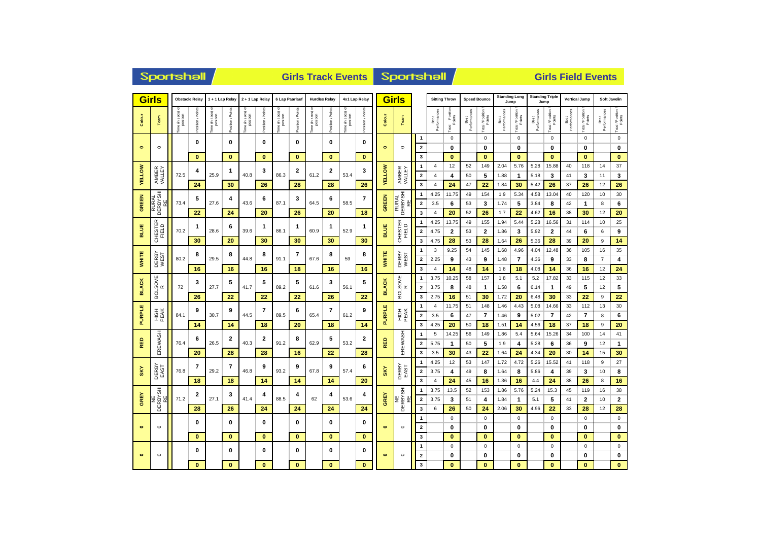| <b>Sportshall</b><br><b>Girls Track Events</b> |                                         |                          |                       |                              |                      |                             |                 |                               |                 |                            |                      |                   | <b>Sportshall</b>       |               |                         |                              | <b>Girls Field Events</b> |                          |                     |                         |                      |                              |                      |                                |                      |                            |                         |                            |
|------------------------------------------------|-----------------------------------------|--------------------------|-----------------------|------------------------------|----------------------|-----------------------------|-----------------|-------------------------------|-----------------|----------------------------|----------------------|-------------------|-------------------------|---------------|-------------------------|------------------------------|---------------------------|--------------------------|---------------------|-------------------------|----------------------|------------------------------|----------------------|--------------------------------|----------------------|----------------------------|-------------------------|----------------------------|
| <b>Girls</b>                                   |                                         |                          | <b>Obstacle Relay</b> |                              | 1 + 1 Lap Relay      | 2 + 1 Lap Relay             |                 | 6 Lap Paarlauf                |                 | <b>Hurdles Relay</b>       |                      | 4x1 Lap Relay     |                         |               | <b>Girls</b>            |                              |                           | <b>Sitting Throw</b>     |                     | <b>Speed Bounce</b>     |                      | <b>Standing Long</b><br>Jump |                      | <b>Standing Triple</b><br>Jump |                      | <b>Vertical Jump</b>       |                         | Soft Javelin               |
| Colour                                         | Team                                    | ne (in secs)<br>position | Position / Point      | "ime (in secs) c<br>position | Position / Poir      | ime (in secs) c<br>position | Position / Poir | l'ime (in secs) o<br>position | Position / Poin | 'ime (in secs)<br>position | Position / Points    | Fime (in secs) of | Position / Points       | Colour        | Team                    |                              | Best<br>Performand        | Total Position<br>Points | Best<br>Performance | Total / Position        | Best<br>Performances | Total / Position<br>Points   | Performances<br>Best | Total / Position<br>Points     | Best<br>Performances | Total / Position<br>Points | Performances<br>Best    | Total / Position<br>Points |
|                                                | $\circ$                                 |                          | 0                     |                              | 0                    |                             | 0<br>$\bf{0}$   |                               | 0               |                            | 0                    |                   | 0                       |               | $\circ$                 | $\overline{1}$               |                           | $\mathsf 0$              |                     | $\mathsf 0$             |                      | $\pmb{0}$                    |                      | $\mathbf 0$                    |                      | $\mathbf 0$                |                         | $\mathbf 0$                |
| $\bullet$                                      |                                         |                          | $\mathbf{0}$          |                              | $\mathbf{0}$         |                             |                 |                               | $\mathbf{0}$    |                            | $\mathbf{0}$         |                   | $\bf{0}$                | $\bullet$     |                         | $\mathbf 2$<br>$\mathbf{3}$  |                           | 0<br>$\bf{0}$            |                     | 0<br>$\bf{0}$           |                      | 0<br>$\bf{0}$                |                      | 0<br>$\mathbf{0}$              |                      | 0<br>$\mathbf{0}$          |                         | $\bf{0}$<br>$\mathbf{0}$   |
|                                                |                                         |                          |                       |                              |                      |                             |                 |                               |                 |                            |                      |                   |                         |               |                         |                              | 4                         | 12                       | 52                  | 149                     | 2.04                 | 5.76                         | 5.28                 | 15.88                          | 40                   | 118                        | 14                      | 37                         |
| <b>YELLOW</b>                                  | AMBER<br>VALLEY                         | 72.5                     | 4                     | 25.9                         | 1                    | 40.8                        | 3               | 86.3                          | 2               | 61.2                       | 2                    | 53.4              | 3                       | <b>YELLOW</b> | AMBER<br>VALLEY         | $\mathbf{2}$                 | $\overline{4}$            | 4                        | 50                  | 5                       | 1.88                 | $\mathbf{1}$                 | 5.18                 | 3                              | 41                   | 3                          | 11                      | 3                          |
|                                                |                                         |                          | 24                    |                              | 30                   |                             | 26              |                               | 28              |                            | 28                   |                   | 26                      |               |                         | 3                            | $\overline{4}$            | 24                       | 47                  | 22                      | 1.84                 | 30                           | 5.42                 | 26                             | 37                   | 26                         | 12                      | 26                         |
|                                                |                                         |                          |                       |                              |                      |                             |                 |                               |                 |                            |                      |                   |                         |               |                         | 1                            | 4.25                      | 11.75                    | 49                  | 154                     | 1.9                  | 5.34                         | 4.58                 | 13.04                          | 40                   | 120                        | 10                      | 30                         |
|                                                | RURAL<br>DERBYSHI<br>RE<br><b>GREEN</b> | 73.4                     | 5                     | 27.6                         | 4                    | 43.6                        | 6               | 87.1                          | 3               | 64.5                       | 6                    | 58.5              | $\overline{7}$          | GREEN         | RURAL<br>DERBYSHI<br>RE | $\mathbf 2$                  | 3.5                       | 6                        | 53                  | 3                       | 1.74                 | 5                            | 3.84                 | 8                              | 42                   | $\mathbf{1}$               | 8                       | 6                          |
|                                                |                                         |                          | 22                    |                              | 24                   |                             | 20              |                               | 26              |                            | 20                   |                   | 18                      |               |                         | 3                            | $\overline{4}$            | 20                       | 52                  | 26                      | 1.7                  | 22                           | 4.62                 | 16                             | 38                   | 30                         | 12                      | 20                         |
|                                                |                                         |                          | 1                     |                              | 6                    |                             | 1               |                               | 1               |                            | 1                    |                   | 1                       |               | CHESTER<br>FIELD        | 1                            | 4.25                      | 13.75                    | 49                  | 155                     | 1.94                 | 5.44                         | 5.28                 | 16.56                          | 31                   | 114                        | 10                      | 25                         |
| BLUE                                           | CHESTER<br>FIELD                        | 70.2                     |                       | 28.6                         |                      | 39.6                        |                 | 86.1                          |                 | 60.9                       |                      | 52.9              |                         | <b>BLUE</b>   |                         | $\overline{\mathbf{2}}$      | 4.75                      | $\mathbf{2}$             | 53                  | $\overline{2}$          | 1.86                 | 3                            | 5.92                 | $\mathbf{2}$                   | 44                   | 6                          | 6                       | 9                          |
|                                                |                                         |                          | 30                    |                              | 20                   |                             | 30              |                               | 30              |                            | 30                   |                   | 30                      |               |                         | 3                            | 4.75                      | 28                       | 53                  | 28                      | 1.64                 | 26                           | 5.36                 | 28                             | 39                   | 20                         | 9                       | 14                         |
|                                                |                                         |                          | 8                     |                              | 8                    |                             | 8               |                               | 7               |                            | 8                    |                   | 8                       |               |                         | 1                            | 3                         | 9.25                     | 54                  | 145                     | 1.68                 | 4.96                         | 4.04                 | 12.48                          | 36                   | 105                        | 16                      | 35                         |
| <b>WHITE</b>                                   | DERBY<br>WEST                           | 80.2                     |                       | 29.5                         |                      | 44.8                        |                 | 91.1                          |                 | 67.6                       |                      | 59                |                         | <b>WHITE</b>  | DERBY<br>WEST           | $\overline{\mathbf{2}}$      | 2.25                      | 9                        | 43                  | 9                       | 1.48                 | $\overline{7}$               | 4.36                 | 9                              | 33                   | 8                          | $\overline{7}$          | 4                          |
|                                                |                                         |                          | 16                    |                              | 16                   |                             | 16              |                               | 18              |                            | 16                   |                   | 16                      |               |                         | 3                            | $\overline{4}$            | 14                       | 48                  | 14                      | 1.8                  | 18                           | 4.08                 | 14                             | 36                   | 16                         | 12                      | 24                         |
| <b>BLACK</b>                                   | BOLSOVE<br>R                            | 72                       | 3<br>27.7             |                              | 5                    | 41.7                        | 5               | 89.2                          | 5               | 61.6                       | 3                    | 56.1              | $\overline{\mathbf{5}}$ | <b>BLACK</b>  | BOLSOVE<br>R            | 1                            | 3.75<br>3.75              | 10.25                    | 58                  | 157                     | 1.8                  | 5.1                          | 5.2                  | 17.82                          | 33<br>49             | 115<br>5                   | 12<br>12                | 33                         |
|                                                |                                         |                          | 26                    |                              | 22                   |                             | 22              |                               | 22              |                            | 26                   |                   | 22                      |               |                         | $\overline{\mathbf{2}}$<br>3 | 2.75                      | 8<br>16                  | 48<br>51            | $\mathbf{1}$<br>30      | 1.58<br>1.72         | 6<br>20                      | 6.14<br>6.48         | $\mathbf{1}$<br>30             | 33                   | 22                         | 9                       | 5<br>22                    |
|                                                |                                         |                          |                       |                              |                      |                             |                 |                               |                 |                            |                      |                   |                         |               |                         | 1                            | $\overline{4}$            | 11.75                    | 51                  | 148                     | 1.46                 | 4.43                         | 5.08                 | 14.66                          | 33                   | 112                        | 13                      | 30                         |
| <b>PURPLE</b>                                  | HIGH<br>PE AK                           | 84.1                     | 9                     | 30.7                         | 9                    | 44.5                        | 7               | 89.5                          | 6               | 65.4                       | $\overline{7}$<br>18 | 61.2              | 9<br>14                 | <b>PURPLE</b> | HIGH<br>PE AK           | $\mathbf{2}$                 | 3.5                       | 6                        | 47                  | $\overline{\mathbf{r}}$ | 1.46                 | 9                            | 5.02                 | $\overline{7}$                 | 42                   | $\overline{7}$             | 8                       | 6                          |
|                                                |                                         |                          | 14                    |                              | 14                   |                             | 18              |                               | 20              |                            |                      |                   |                         |               |                         | 3                            | 4.25                      | 20                       | 50                  | 18                      | 1.51                 | 14                           | 4.56                 | 18                             | 37                   | 18                         | 9                       | 20                         |
|                                                |                                         |                          |                       |                              |                      |                             |                 |                               |                 |                            |                      |                   |                         |               |                         | 1                            | 5                         | 14.25                    | 56                  | 149                     | 1.86                 | 5.4                          | 5.64                 | 15.26                          | 34                   | 100                        | 14                      | 41                         |
| RED                                            | EREWASH                                 | 76.4                     | 6                     | 26.5                         | 2                    | 40.3                        | 2               | 91.2                          | 8               | 62.9                       | 5                    | 53.2              | $\mathbf{2}$            | 品<br>œ        | EREWASH                 | $\overline{\mathbf{2}}$      | 5.75                      | $\mathbf{1}$             | 50                  | 5                       | 1.9                  | 4                            | 5.28                 | 6                              | 36                   | 9                          | 12                      | $\mathbf{1}$               |
|                                                |                                         |                          | 20                    |                              | 28                   |                             | 28              |                               | 16              |                            | 22                   |                   | 28                      |               |                         | 3                            | 3.5                       | 30                       | 43                  | 22                      | 1.64                 | 24                           | 4.34                 | 20                             | 30                   | 14                         | 15                      | 30                         |
|                                                |                                         |                          | $\overline{7}$        |                              | $\overline{7}$       |                             | 9               |                               | 9               |                            | 9                    |                   | 6                       |               |                         | 1                            | 4.25                      | 12                       | 53                  | 147                     | 1.72                 | 4.72                         | 5.26                 | 15.52                          | 41                   | 118                        | 9                       | 27                         |
| SKY                                            | DERBY<br>EAST                           | 76.8                     |                       | 29.2                         |                      | 46.8                        |                 | 93.2                          |                 | 67.8                       |                      | 57.4              |                         | SKY           | DERBY<br>EAST           | $\overline{\mathbf{2}}$      | 3.75                      | 4                        | 49                  | 8                       | 1.64                 | 8                            | 5.86                 | 4                              | 39                   | 3                          | 10                      | 8                          |
|                                                |                                         |                          | 18                    |                              | 18                   |                             | 14              |                               | 14              |                            | 14                   |                   | 20                      |               |                         | 3                            | $\overline{4}$            | 24                       | 45                  | 16                      | 1.36                 | 16                           | 4.4                  | 24                             | 38                   | 26                         | 8                       | 16                         |
|                                                |                                         |                          | $\overline{2}$        |                              | 3                    |                             | 4               |                               | 4               |                            | 4                    |                   | 4                       |               |                         | 1                            | 3.75                      | 13.5                     | 52                  | 153                     | 1.86                 | 5.76                         | 5.24                 | 15.3                           | 45                   | 119                        | 16                      | 38                         |
| <b>GREY</b>                                    | DERBYSHI                                | 71.2                     |                       | 27.1                         |                      | 41.4                        |                 | 88.5                          |                 | 62                         |                      | 53.6              |                         | <b>GREY</b>   | NE<br>DERBYSHI          | $\overline{\mathbf{2}}$      | 3.75                      | 3                        | 51                  | 4                       | 1.84                 | $\mathbf{1}$                 | 5.1                  | 5                              | 41                   | $\mathbf{2}$               | 10                      | $\mathbf{2}$               |
|                                                |                                         |                          | 28                    |                              | 26                   |                             | 24              |                               | 24              |                            | 24                   |                   | 24                      |               |                         | 3                            | 6                         | 26                       | 50                  | 24                      | 2.06                 | 30                           | 4.96                 | 22                             | 33                   | 28                         | 12                      | 28                         |
|                                                |                                         |                          | 0                     |                              | 0                    |                             | 0               |                               | $\pmb{0}$       |                            | $\pmb{0}$            |                   | $\bf{0}$                |               |                         | 1                            |                           | $\mathsf{O}\xspace$      |                     | $\mathsf 0$             |                      | $\pmb{0}$                    |                      | $\mathbf 0$                    |                      | $\mathbf 0$                |                         | $\pmb{0}$                  |
| $\bullet$                                      | $\circ$                                 |                          | $\mathbf{0}$          |                              | $\mathbf{0}$         | $\bf{0}$                    |                 | $\bf{0}$                      | $\mathbf{0}$    |                            |                      | $\mathbf{0}$      | $\bullet$               | $\circ$       | $\mathbf{2}$<br>3       |                              | 0<br>$\bf{0}$             |                          | 0<br>$\bf{0}$       |                         | 0<br>$\bf{0}$        |                              | 0<br>$\mathbf{0}$    |                                | 0<br>$\mathbf{0}$    |                            | $\mathbf 0$<br>$\bf{0}$ |                            |
|                                                |                                         |                          |                       |                              |                      |                             |                 |                               |                 |                            |                      |                   |                         |               |                         | 1                            |                           | $\mathbf 0$              |                     | $\mathbf 0$             |                      | $\mathbf 0$                  |                      | $\mathbf 0$                    |                      | $\mathbf 0$                |                         | $\mathbf 0$                |
| $\bullet$                                      | $\circ$                                 |                          | 0                     |                              | 0                    |                             | 0               |                               | $\mathbf 0$     |                            | $\mathbf 0$          |                   | $\bf{0}$                | $\bullet$     | $\circ$                 | $\overline{\mathbf{2}}$      |                           | 0                        |                     | 0                       |                      | 0                            |                      | $\mathbf 0$                    |                      | $\mathbf 0$                |                         | $\mathbf 0$                |
|                                                |                                         |                          | $\bf{0}$              |                              | $\bf{0}$<br>$\bf{0}$ |                             | $\bf{0}$        |                               | $\bf{0}$        |                            | $\mathbf{0}$         |                   |                         | 3             |                         | $\mathbf{0}$                 |                           | $\mathbf{0}$             |                     | $\bf{0}$                |                      | $\bf{0}$                     |                      | $\bf{0}$                       |                      | $\mathbf{0}$               |                         |                            |